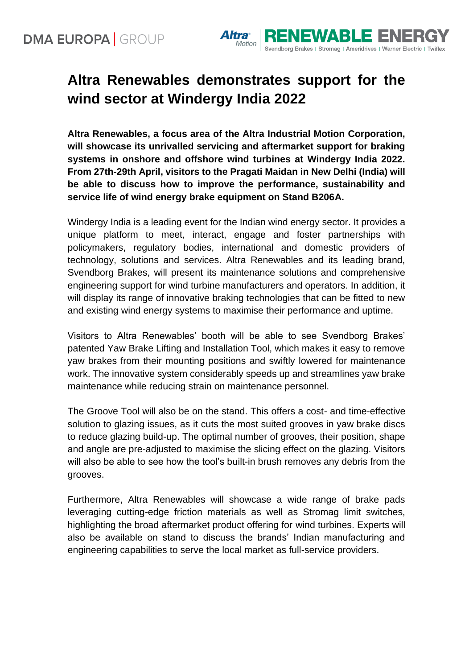

## **Altra Renewables demonstrates support for the wind sector at Windergy India 2022**

**Altra Renewables, a focus area of the Altra Industrial Motion Corporation, will showcase its unrivalled servicing and aftermarket support for braking systems in onshore and offshore wind turbines at Windergy India 2022. From 27th-29th April, visitors to the Pragati Maidan in New Delhi (India) will be able to discuss how to improve the performance, sustainability and service life of wind energy brake equipment on Stand B206A.** 

Windergy India is a leading event for the Indian wind energy sector. It provides a unique platform to meet, interact, engage and foster partnerships with policymakers, regulatory bodies, international and domestic providers of technology, solutions and services. Altra Renewables and its leading brand, Svendborg Brakes, will present its maintenance solutions and comprehensive engineering support for wind turbine manufacturers and operators. In addition, it will display its range of innovative braking technologies that can be fitted to new and existing wind energy systems to maximise their performance and uptime.

Visitors to Altra Renewables' booth will be able to see Svendborg Brakes' patented Yaw Brake Lifting and Installation Tool, which makes it easy to remove yaw brakes from their mounting positions and swiftly lowered for maintenance work. The innovative system considerably speeds up and streamlines yaw brake maintenance while reducing strain on maintenance personnel.

The Groove Tool will also be on the stand. This offers a cost- and time-effective solution to glazing issues, as it cuts the most suited grooves in yaw brake discs to reduce glazing build-up. The optimal number of grooves, their position, shape and angle are pre-adjusted to maximise the slicing effect on the glazing. Visitors will also be able to see how the tool's built-in brush removes any debris from the grooves.

Furthermore, Altra Renewables will showcase a wide range of brake pads leveraging cutting-edge friction materials as well as Stromag limit switches, highlighting the broad aftermarket product offering for wind turbines. Experts will also be available on stand to discuss the brands' Indian manufacturing and engineering capabilities to serve the local market as full-service providers.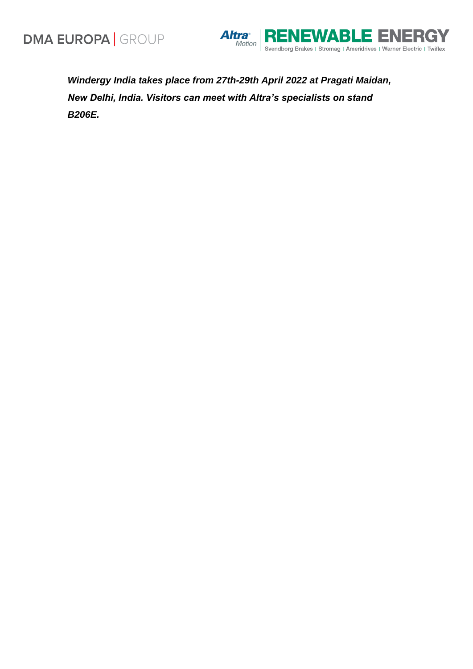

*Windergy India takes place from 27th-29th April 2022 at Pragati Maidan, New Delhi, India. Visitors can meet with Altra's specialists on stand B206E.*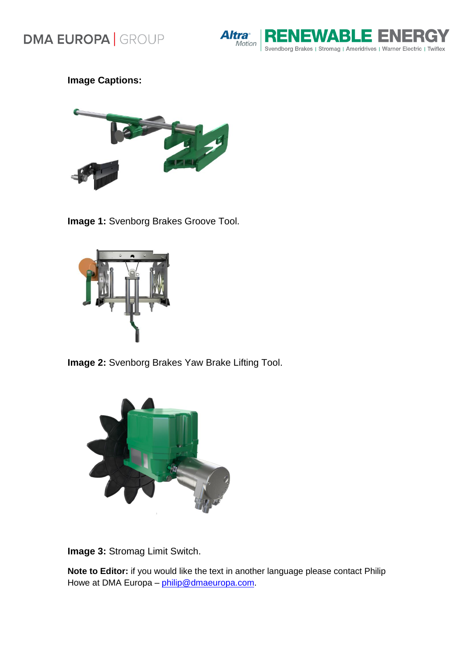



**Image Captions:** 



**Image 1:** Svenborg Brakes Groove Tool.



**Image 2:** Svenborg Brakes Yaw Brake Lifting Tool.



**Image 3:** Stromag Limit Switch.

**Note to Editor:** if you would like the text in another language please contact Philip Howe at DMA Europa - [philip@dmaeuropa.com.](mailto:philip@dmaeuropa.com)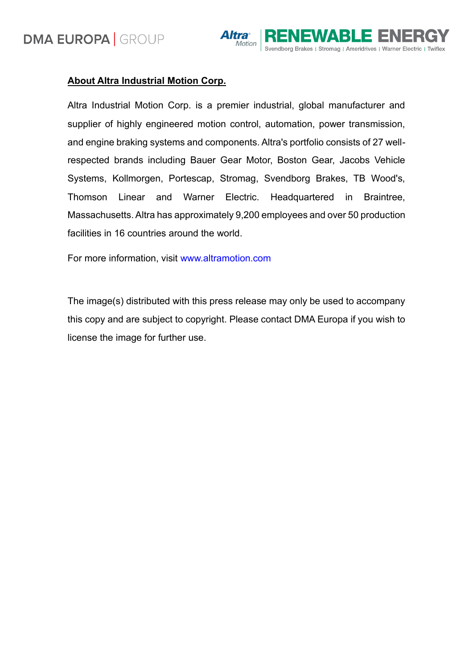

## **About Altra Industrial Motion Corp.**

Altra Industrial Motion Corp. is a premier industrial, global manufacturer and supplier of highly engineered motion control, automation, power transmission, and engine braking systems and components. Altra's portfolio consists of 27 wellrespected brands including Bauer Gear Motor, Boston Gear, Jacobs Vehicle Systems, Kollmorgen, Portescap, Stromag, Svendborg Brakes, TB Wood's, Thomson Linear and Warner Electric. Headquartered in Braintree, Massachusetts. Altra has approximately 9,200 employees and over 50 production facilities in 16 countries around the world.

For more information, visit [www.altramotion.com](http://www.altramotion.com/)

The image(s) distributed with this press release may only be used to accompany this copy and are subject to copyright. Please contact DMA Europa if you wish to license the image for further use.